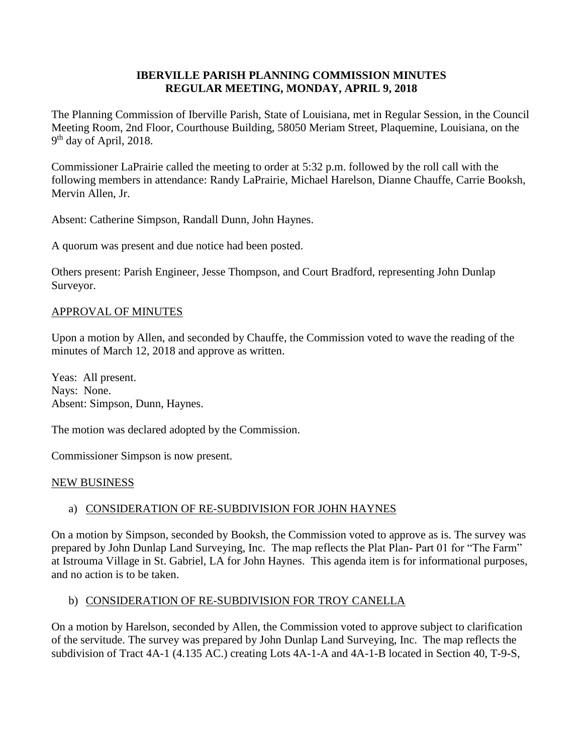## **IBERVILLE PARISH PLANNING COMMISSION MINUTES REGULAR MEETING, MONDAY, APRIL 9, 2018**

The Planning Commission of Iberville Parish, State of Louisiana, met in Regular Session, in the Council Meeting Room, 2nd Floor, Courthouse Building, 58050 Meriam Street, Plaquemine, Louisiana, on the 9<sup>th</sup> day of April, 2018.

Commissioner LaPrairie called the meeting to order at 5:32 p.m. followed by the roll call with the following members in attendance: Randy LaPrairie, Michael Harelson, Dianne Chauffe, Carrie Booksh, Mervin Allen, Jr.

Absent: Catherine Simpson, Randall Dunn, John Haynes.

A quorum was present and due notice had been posted.

Others present: Parish Engineer, Jesse Thompson, and Court Bradford, representing John Dunlap Surveyor.

## APPROVAL OF MINUTES

Upon a motion by Allen, and seconded by Chauffe, the Commission voted to wave the reading of the minutes of March 12, 2018 and approve as written.

Yeas: All present. Nays: None. Absent: Simpson, Dunn, Haynes.

The motion was declared adopted by the Commission.

Commissioner Simpson is now present.

## NEW BUSINESS

## a) CONSIDERATION OF RE-SUBDIVISION FOR JOHN HAYNES

On a motion by Simpson, seconded by Booksh, the Commission voted to approve as is. The survey was prepared by John Dunlap Land Surveying, Inc. The map reflects the Plat Plan- Part 01 for "The Farm" at Istrouma Village in St. Gabriel, LA for John Haynes. This agenda item is for informational purposes, and no action is to be taken.

## b) CONSIDERATION OF RE-SUBDIVISION FOR TROY CANELLA

On a motion by Harelson, seconded by Allen, the Commission voted to approve subject to clarification of the servitude. The survey was prepared by John Dunlap Land Surveying, Inc. The map reflects the subdivision of Tract 4A-1 (4.135 AC.) creating Lots 4A-1-A and 4A-1-B located in Section 40, T-9-S,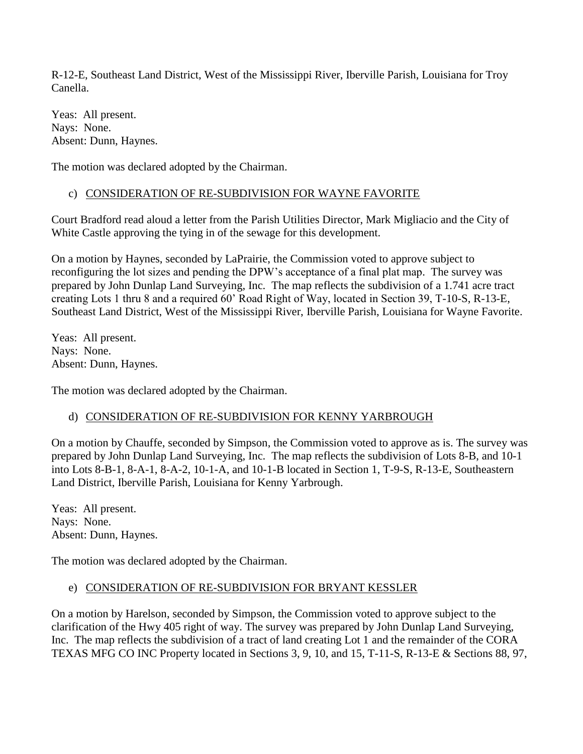R-12-E, Southeast Land District, West of the Mississippi River, Iberville Parish, Louisiana for Troy Canella.

Yeas: All present. Nays: None. Absent: Dunn, Haynes.

The motion was declared adopted by the Chairman.

# c) CONSIDERATION OF RE-SUBDIVISION FOR WAYNE FAVORITE

Court Bradford read aloud a letter from the Parish Utilities Director, Mark Migliacio and the City of White Castle approving the tying in of the sewage for this development.

On a motion by Haynes, seconded by LaPrairie, the Commission voted to approve subject to reconfiguring the lot sizes and pending the DPW's acceptance of a final plat map. The survey was prepared by John Dunlap Land Surveying, Inc. The map reflects the subdivision of a 1.741 acre tract creating Lots 1 thru 8 and a required 60' Road Right of Way, located in Section 39, T-10-S, R-13-E, Southeast Land District, West of the Mississippi River, Iberville Parish, Louisiana for Wayne Favorite.

Yeas: All present. Nays: None. Absent: Dunn, Haynes.

The motion was declared adopted by the Chairman.

# d) CONSIDERATION OF RE-SUBDIVISION FOR KENNY YARBROUGH

On a motion by Chauffe, seconded by Simpson, the Commission voted to approve as is. The survey was prepared by John Dunlap Land Surveying, Inc. The map reflects the subdivision of Lots 8-B, and 10-1 into Lots 8-B-1, 8-A-1, 8-A-2, 10-1-A, and 10-1-B located in Section 1, T-9-S, R-13-E, Southeastern Land District, Iberville Parish, Louisiana for Kenny Yarbrough.

Yeas: All present. Nays: None. Absent: Dunn, Haynes.

The motion was declared adopted by the Chairman.

# e) CONSIDERATION OF RE-SUBDIVISION FOR BRYANT KESSLER

On a motion by Harelson, seconded by Simpson, the Commission voted to approve subject to the clarification of the Hwy 405 right of way. The survey was prepared by John Dunlap Land Surveying, Inc. The map reflects the subdivision of a tract of land creating Lot 1 and the remainder of the CORA TEXAS MFG CO INC Property located in Sections 3, 9, 10, and 15, T-11-S, R-13-E & Sections 88, 97,